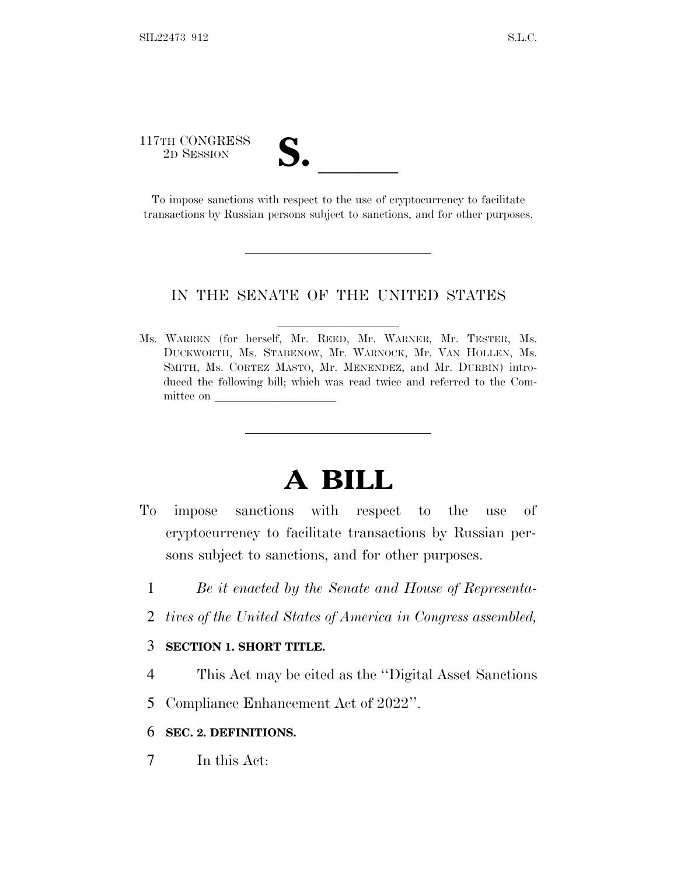# 117TH CONGRESS TTH CONGRESS<br>
2D SESSION<br>
To impose sanctions with respect to the use of cryptocurrency to facilitate

transactions by Russian persons subject to sanctions, and for other purposes.

#### IN THE SENATE OF THE UNITED STATES

Ms. WARREN (for herself, Mr. REED, Mr. WARNER, Mr. TESTER, Ms. DUCKWORTH, Ms. STABENOW, Mr. WARNOCK, Mr. VAN HOLLEN, Ms. SMITH, Ms. CORTEZ MASTO, Mr. MENENDEZ, and Mr. DURBIN) introduced the following bill; which was read twice and referred to the Committee on

# **A BILL**

- To impose sanctions with respect to the use of cryptocurrency to facilitate transactions by Russian persons subject to sanctions, and for other purposes.
	- 1 *Be it enacted by the Senate and House of Representa-*
	- 2 *tives of the United States of America in Congress assembled,*

## 3 **SECTION 1. SHORT TITLE.**

- 4 This Act may be cited as the ''Digital Asset Sanctions
- 5 Compliance Enhancement Act of 2022''.

#### 6 **SEC. 2. DEFINITIONS.**

7 In this Act: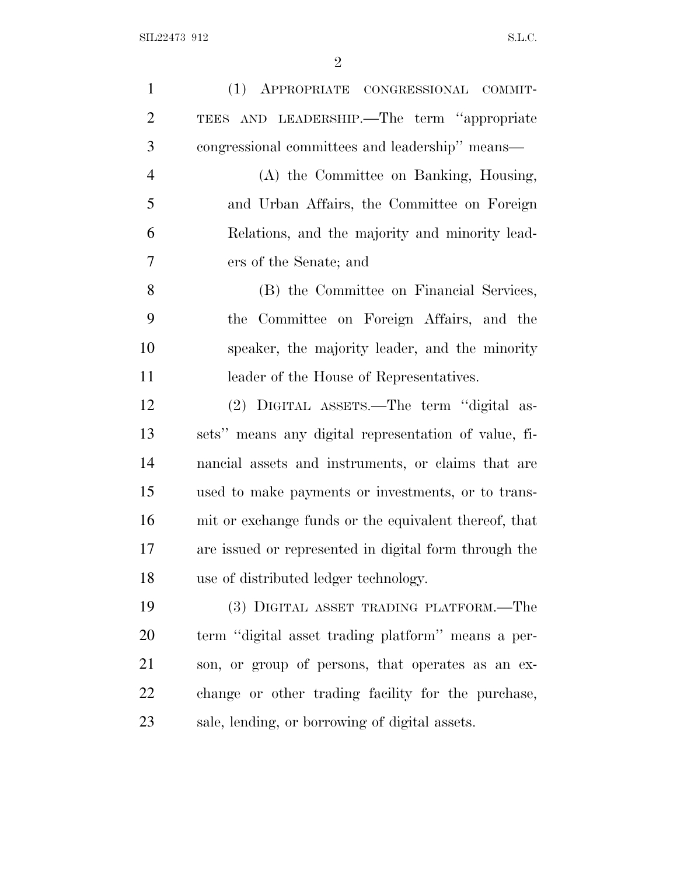| $\mathbf{1}$   | (1) APPROPRIATE CONGRESSIONAL COMMIT-                 |
|----------------|-------------------------------------------------------|
| $\overline{2}$ | TEES AND LEADERSHIP.—The term "appropriate            |
| 3              | congressional committees and leadership" means—       |
| $\overline{4}$ | (A) the Committee on Banking, Housing,                |
| 5              | and Urban Affairs, the Committee on Foreign           |
| 6              | Relations, and the majority and minority lead-        |
| $\overline{7}$ | ers of the Senate; and                                |
| 8              | (B) the Committee on Financial Services,              |
| 9              | the Committee on Foreign Affairs, and the             |
| 10             | speaker, the majority leader, and the minority        |
| 11             | leader of the House of Representatives.               |
| 12             | (2) DIGITAL ASSETS.—The term "digital as-             |
| 13             | sets" means any digital representation of value, fi-  |
| 14             | nancial assets and instruments, or claims that are    |
| 15             | used to make payments or investments, or to trans-    |
| 16             | mit or exchange funds or the equivalent thereof, that |
| 17             | are issued or represented in digital form through the |
| 18             | use of distributed ledger technology.                 |
| 19             | (3) DIGITAL ASSET TRADING PLATFORM.—The               |
| 20             | term "digital asset trading platform" means a per-    |
| 21             | son, or group of persons, that operates as an ex-     |
| 22             | change or other trading facility for the purchase,    |
| 23             | sale, lending, or borrowing of digital assets.        |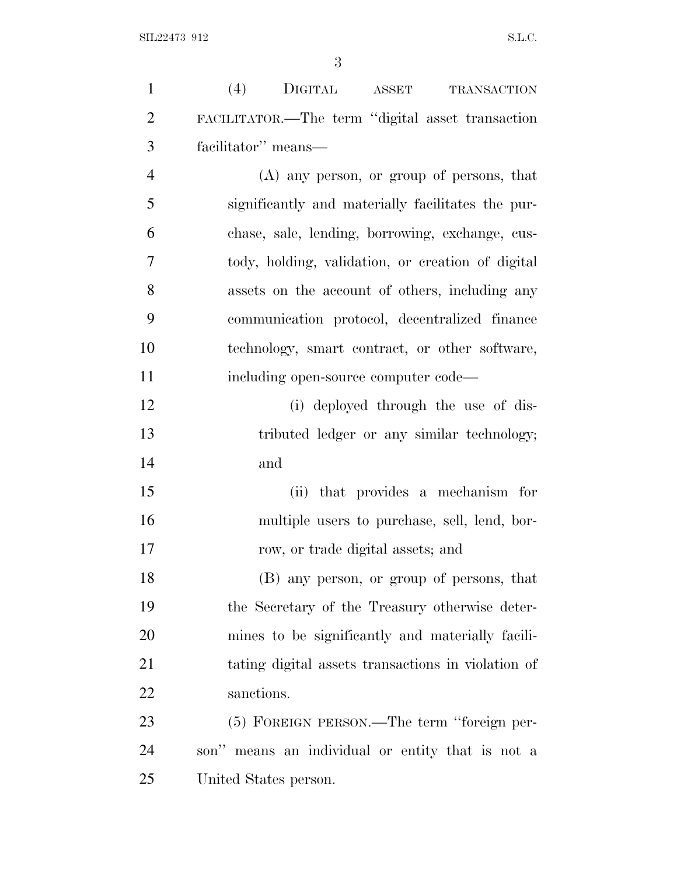| $\mathbf{1}$   | (4)<br>DIGITAL ASSET<br><b>TRANSACTION</b>         |
|----------------|----------------------------------------------------|
| $\overline{2}$ | FACILITATOR.-The term "digital asset transaction   |
| 3              | facilitator" means-                                |
| $\overline{4}$ | $(A)$ any person, or group of persons, that        |
| 5              | significantly and materially facilitates the pur-  |
| 6              | chase, sale, lending, borrowing, exchange, cus-    |
| $\overline{7}$ | tody, holding, validation, or creation of digital  |
| 8              | assets on the account of others, including any     |
| 9              | communication protocol, decentralized finance      |
| 10             | technology, smart contract, or other software,     |
| 11             | including open-source computer code—               |
| 12             | (i) deployed through the use of dis-               |
| 13             | tributed ledger or any similar technology;         |
| 14             | and                                                |
| 15             | that provides a mechanism for<br>(ii)              |
| 16             | multiple users to purchase, sell, lend, bor-       |
| 17             | row, or trade digital assets; and                  |
| 18             | (B) any person, or group of persons, that          |
| 19             | the Secretary of the Treasury otherwise deter-     |
| 20             | mines to be significantly and materially facili-   |
| 21             | tating digital assets transactions in violation of |
| 22             | sanctions.                                         |
| 23             | (5) FOREIGN PERSON.—The term "foreign per-         |
| 24             | son" means an individual or entity that is not a   |
| 25             | United States person.                              |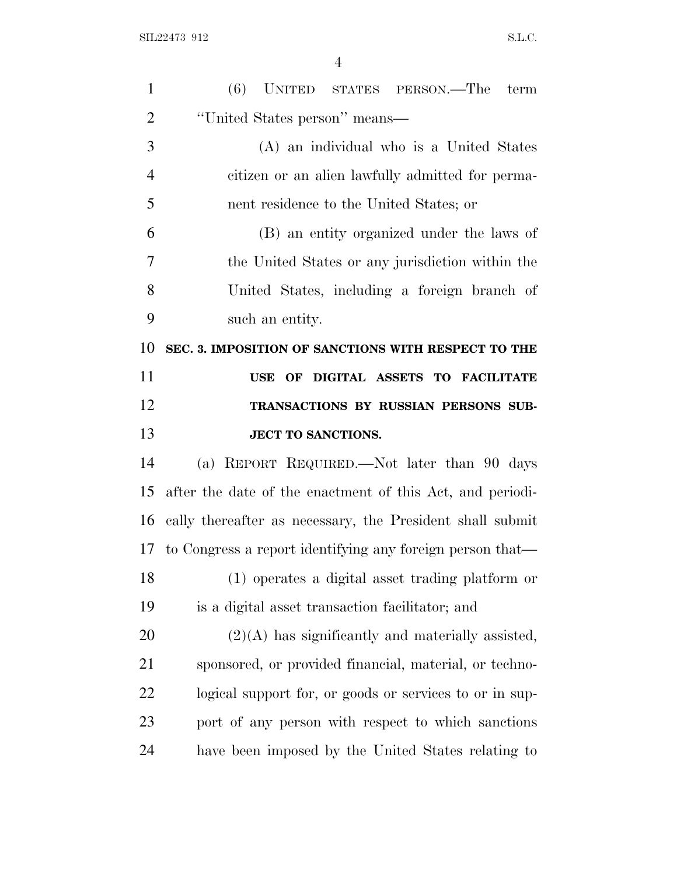| $\mathbf{1}$   | (6) UNITED STATES PERSON.—The term                        |
|----------------|-----------------------------------------------------------|
| $\overline{2}$ | "United States person" means—                             |
| 3              | (A) an individual who is a United States                  |
| $\overline{4}$ | citizen or an alien lawfully admitted for perma-          |
| 5              | nent residence to the United States; or                   |
| 6              | (B) an entity organized under the laws of                 |
| 7              | the United States or any jurisdiction within the          |
| 8              | United States, including a foreign branch of              |
| 9              | such an entity.                                           |
| 10             | SEC. 3. IMPOSITION OF SANCTIONS WITH RESPECT TO THE       |
| 11             | USE OF DIGITAL ASSETS TO FACILITATE                       |
| 12             | TRANSACTIONS BY RUSSIAN PERSONS SUB-                      |
|                |                                                           |
| 13             | <b>JECT TO SANCTIONS.</b>                                 |
| 14             | (a) REPORT REQUIRED.—Not later than 90 days               |
| 15             | after the date of the enactment of this Act, and periodi- |
| 16             | cally thereafter as necessary, the President shall submit |
| 17             | to Congress a report identifying any foreign person that— |
| 18             | (1) operates a digital asset trading platform or          |
| 19             | is a digital asset transaction facilitator; and           |
| 20             | $(2)(A)$ has significantly and materially assisted,       |
| 21             | sponsored, or provided financial, material, or techno-    |
| 22             | logical support for, or goods or services to or in sup-   |
| 23             | port of any person with respect to which sanctions        |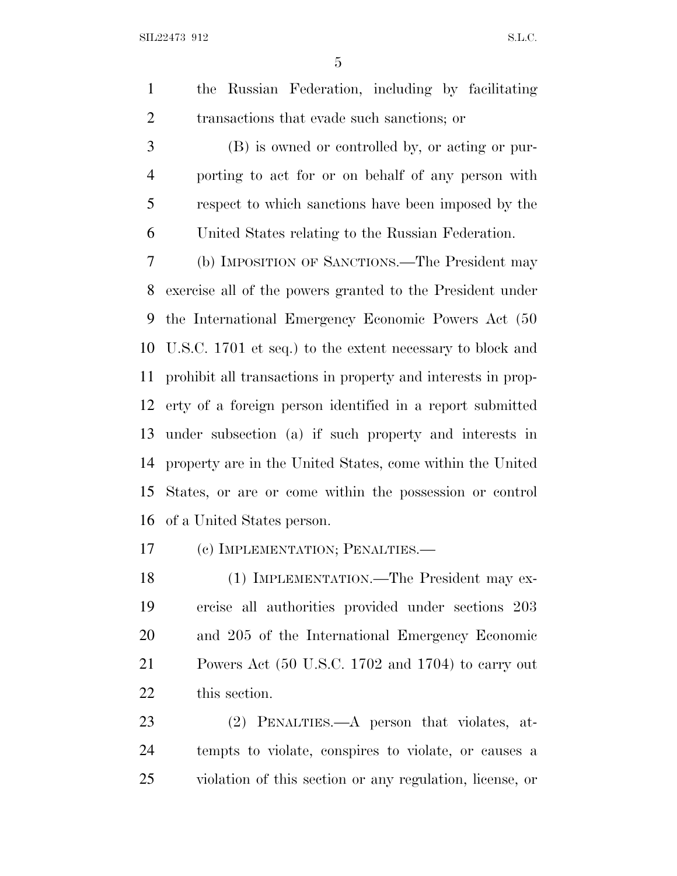the Russian Federation, including by facilitating transactions that evade such sanctions; or

 (B) is owned or controlled by, or acting or pur- porting to act for or on behalf of any person with respect to which sanctions have been imposed by the United States relating to the Russian Federation.

 (b) IMPOSITION OF SANCTIONS.—The President may exercise all of the powers granted to the President under the International Emergency Economic Powers Act (50 U.S.C. 1701 et seq.) to the extent necessary to block and prohibit all transactions in property and interests in prop- erty of a foreign person identified in a report submitted under subsection (a) if such property and interests in property are in the United States, come within the United States, or are or come within the possession or control of a United States person.

(c) IMPLEMENTATION; PENALTIES.—

 (1) IMPLEMENTATION.—The President may ex- ercise all authorities provided under sections 203 and 205 of the International Emergency Economic Powers Act (50 U.S.C. 1702 and 1704) to carry out this section.

 (2) PENALTIES.—A person that violates, at- tempts to violate, conspires to violate, or causes a violation of this section or any regulation, license, or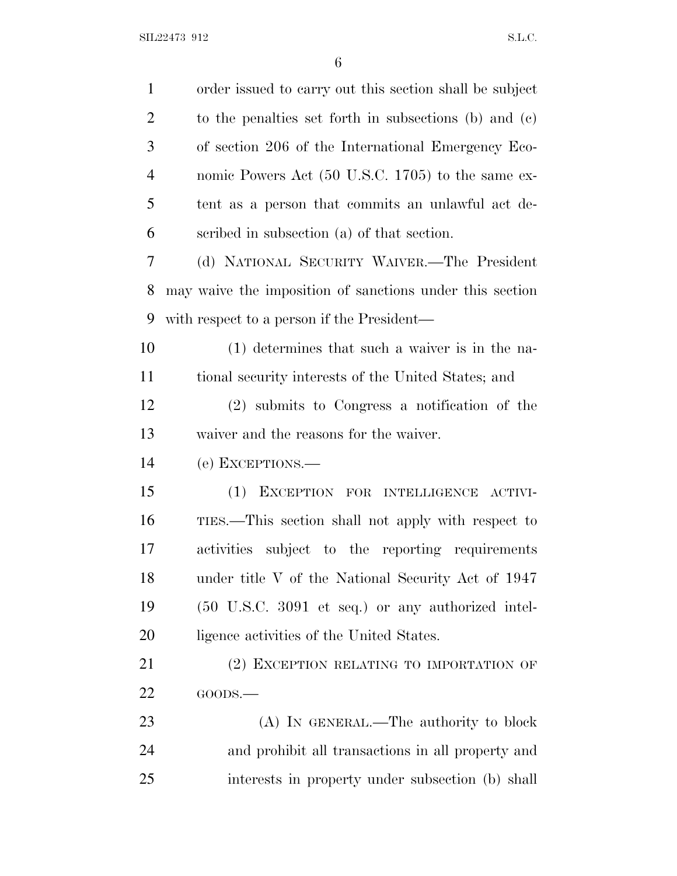| $\mathbf{1}$   | order issued to carry out this section shall be subject  |
|----------------|----------------------------------------------------------|
| $\overline{2}$ | to the penalties set forth in subsections (b) and $(c)$  |
| 3              | of section 206 of the International Emergency Eco-       |
| $\overline{4}$ | nomic Powers Act (50 U.S.C. 1705) to the same ex-        |
| 5              | tent as a person that commits an unlawful act de-        |
| 6              | scribed in subsection (a) of that section.               |
| 7              | (d) NATIONAL SECURITY WAIVER.—The President              |
| 8              | may waive the imposition of sanctions under this section |
| 9              | with respect to a person if the President—               |
| 10             | (1) determines that such a waiver is in the na-          |
| 11             | tional security interests of the United States; and      |
| 12             | (2) submits to Congress a notification of the            |
| 13             | waiver and the reasons for the waiver.                   |
| 14             | (e) EXCEPTIONS.—                                         |
| 15             | (1)<br>EXCEPTION FOR INTELLIGENCE<br>ACTIVI-             |
| 16             | TIES.—This section shall not apply with respect to       |
| 17             | activities subject to the reporting requirements         |
| 18             | under title V of the National Security Act of 1947       |
| 19             | (50 U.S.C. 3091 et seq.) or any authorized intel-        |
| 20             | ligence activities of the United States.                 |
| 21             | (2) EXCEPTION RELATING TO IMPORTATION OF                 |
| 22             | GOODS.                                                   |
| 23             | (A) IN GENERAL.—The authority to block                   |
| 24             | and prohibit all transactions in all property and        |
| 25             | interests in property under subsection (b) shall         |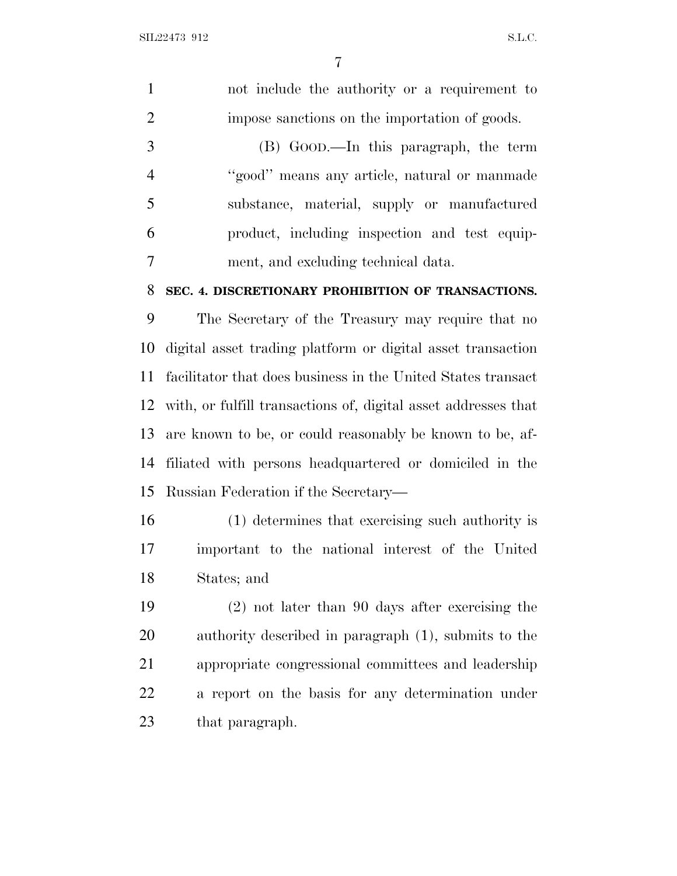| $\mathbf{1}$   | not include the authority or a requirement to                  |
|----------------|----------------------------------------------------------------|
| $\overline{2}$ | impose sanctions on the importation of goods.                  |
| 3              | (B) GOOD.—In this paragraph, the term                          |
| $\overline{4}$ | "good" means any article, natural or manmade                   |
| 5              | substance, material, supply or manufactured                    |
| 6              | product, including inspection and test equip-                  |
| $\tau$         | ment, and excluding technical data.                            |
| 8              | SEC. 4. DISCRETIONARY PROHIBITION OF TRANSACTIONS.             |
| 9              | The Secretary of the Treasury may require that no              |
| 10             | digital asset trading platform or digital asset transaction    |
| 11             | facilitator that does business in the United States transact   |
| 12             | with, or fulfill transactions of, digital asset addresses that |
| 13             | are known to be, or could reasonably be known to be, af-       |
| 14             | filiated with persons headquartered or domiciled in the        |
| 15             | Russian Federation if the Secretary—                           |
| 16             | (1) determines that exercising such authority is               |
| 17             | important to the national interest of the United               |
| 18             | States; and                                                    |
| 19             | $(2)$ not later than 90 days after exercising the              |
| 20             | authority described in paragraph (1), submits to the           |
| 21             | appropriate congressional committees and leadership            |
| 22             | a report on the basis for any determination under              |
|                |                                                                |

that paragraph.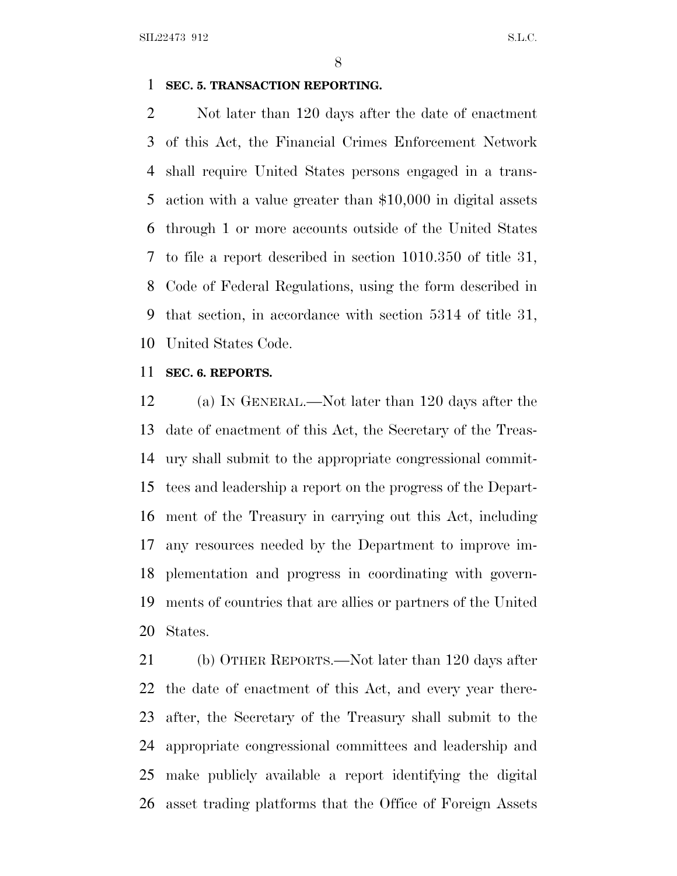SIL22473 912 S.L.C.

#### **SEC. 5. TRANSACTION REPORTING.**

 Not later than 120 days after the date of enactment of this Act, the Financial Crimes Enforcement Network shall require United States persons engaged in a trans- action with a value greater than \$10,000 in digital assets through 1 or more accounts outside of the United States to file a report described in section 1010.350 of title 31, Code of Federal Regulations, using the form described in that section, in accordance with section 5314 of title 31, United States Code.

## **SEC. 6. REPORTS.**

 (a) I<sup>N</sup> GENERAL.—Not later than 120 days after the date of enactment of this Act, the Secretary of the Treas- ury shall submit to the appropriate congressional commit- tees and leadership a report on the progress of the Depart- ment of the Treasury in carrying out this Act, including any resources needed by the Department to improve im- plementation and progress in coordinating with govern- ments of countries that are allies or partners of the United States.

 (b) OTHER REPORTS.—Not later than 120 days after the date of enactment of this Act, and every year there- after, the Secretary of the Treasury shall submit to the appropriate congressional committees and leadership and make publicly available a report identifying the digital asset trading platforms that the Office of Foreign Assets